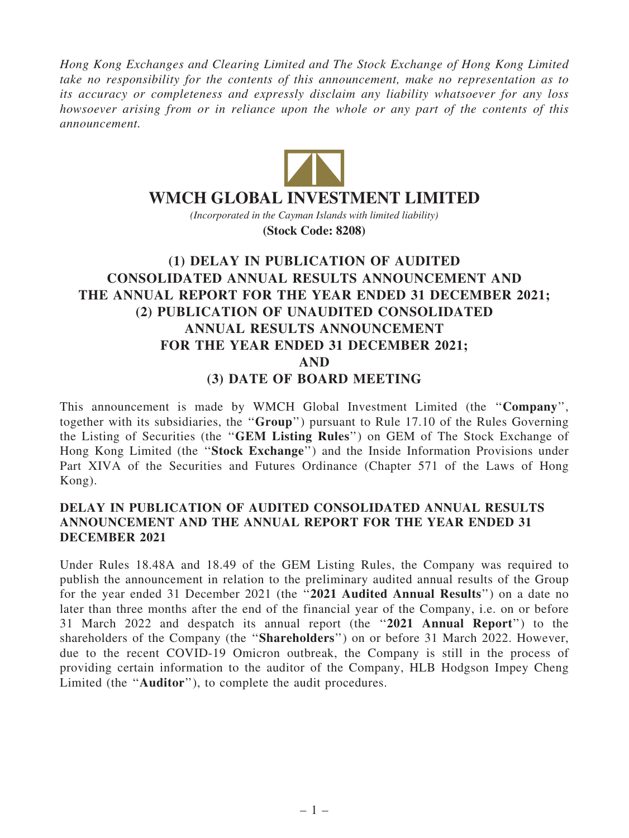Hong Kong Exchanges and Clearing Limited and The Stock Exchange of Hong Kong Limited take no responsibility for the contents of this announcement, make no representation as to its accuracy or completeness and expressly disclaim any liability whatsoever for any loss howsoever arising from or in reliance upon the whole or any part of the contents of this announcement.



# **WMCH GLOBAL INVESTMENT LIMITED**

*(Incorporated in the Cayman Islands with limited liability)* **(Stock Code: 8208)**

# (1) DELAY IN PUBLICATION OF AUDITED CONSOLIDATED ANNUAL RESULTS ANNOUNCEMENT AND THE ANNUAL REPORT FOR THE YEAR ENDED 31 DECEMBER 2021; (2) PUBLICATION OF UNAUDITED CONSOLIDATED ANNUAL RESULTS ANNOUNCEMENT FOR THE YEAR ENDED 31 DECEMBER 2021; AND (3) DATE OF BOARD MEETING

This announcement is made by WMCH Global Investment Limited (the ''Company'', together with its subsidiaries, the ''Group'') pursuant to Rule 17.10 of the Rules Governing the Listing of Securities (the ''GEM Listing Rules'') on GEM of The Stock Exchange of Hong Kong Limited (the ''Stock Exchange'') and the Inside Information Provisions under Part XIVA of the Securities and Futures Ordinance (Chapter 571 of the Laws of Hong Kong).

## DELAY IN PUBLICATION OF AUDITED CONSOLIDATED ANNUAL RESULTS ANNOUNCEMENT AND THE ANNUAL REPORT FOR THE YEAR ENDED 31 DECEMBER 2021

Under Rules 18.48A and 18.49 of the GEM Listing Rules, the Company was required to publish the announcement in relation to the preliminary audited annual results of the Group for the year ended 31 December 2021 (the "2021 Audited Annual Results") on a date no later than three months after the end of the financial year of the Company, i.e. on or before 31 March 2022 and despatch its annual report (the ''2021 Annual Report'') to the shareholders of the Company (the ''Shareholders'') on or before 31 March 2022. However, due to the recent COVID-19 Omicron outbreak, the Company is still in the process of providing certain information to the auditor of the Company, HLB Hodgson Impey Cheng Limited (the ''Auditor''), to complete the audit procedures.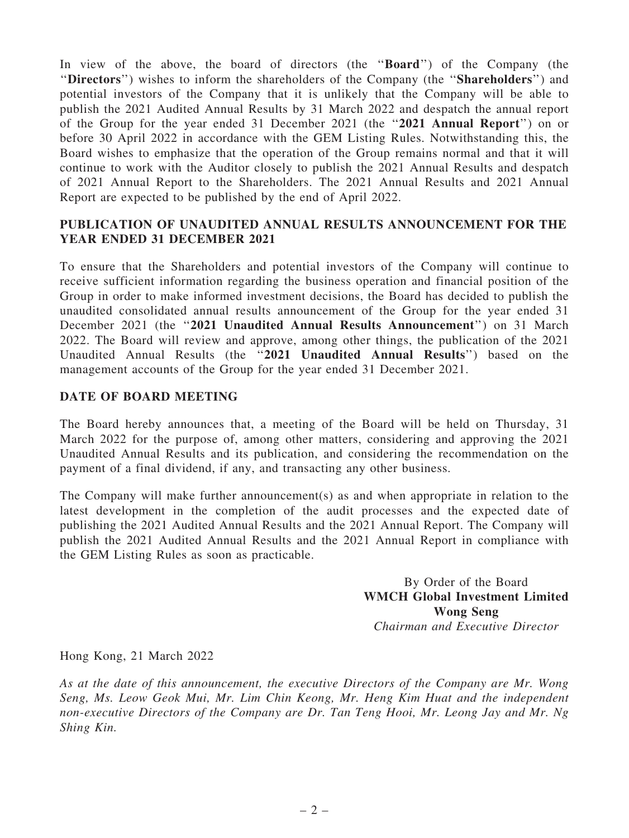In view of the above, the board of directors (the "Board") of the Company (the ''Directors'') wishes to inform the shareholders of the Company (the ''Shareholders'') and potential investors of the Company that it is unlikely that the Company will be able to publish the 2021 Audited Annual Results by 31 March 2022 and despatch the annual report of the Group for the year ended 31 December 2021 (the ''2021 Annual Report'') on or before 30 April 2022 in accordance with the GEM Listing Rules. Notwithstanding this, the Board wishes to emphasize that the operation of the Group remains normal and that it will continue to work with the Auditor closely to publish the 2021 Annual Results and despatch of 2021 Annual Report to the Shareholders. The 2021 Annual Results and 2021 Annual Report are expected to be published by the end of April 2022.

## PUBLICATION OF UNAUDITED ANNUAL RESULTS ANNOUNCEMENT FOR THE YEAR ENDED 31 DECEMBER 2021

To ensure that the Shareholders and potential investors of the Company will continue to receive sufficient information regarding the business operation and financial position of the Group in order to make informed investment decisions, the Board has decided to publish the unaudited consolidated annual results announcement of the Group for the year ended 31 December 2021 (the "2021 Unaudited Annual Results Announcement") on 31 March 2022. The Board will review and approve, among other things, the publication of the 2021 Unaudited Annual Results (the ''2021 Unaudited Annual Results'') based on the management accounts of the Group for the year ended 31 December 2021.

## DATE OF BOARD MEETING

The Board hereby announces that, a meeting of the Board will be held on Thursday, 31 March 2022 for the purpose of, among other matters, considering and approving the 2021 Unaudited Annual Results and its publication, and considering the recommendation on the payment of a final dividend, if any, and transacting any other business.

The Company will make further announcement(s) as and when appropriate in relation to the latest development in the completion of the audit processes and the expected date of publishing the 2021 Audited Annual Results and the 2021 Annual Report. The Company will publish the 2021 Audited Annual Results and the 2021 Annual Report in compliance with the GEM Listing Rules as soon as practicable.

> By Order of the Board WMCH Global Investment Limited Wong Seng

Chairman and Executive Director

Hong Kong, 21 March 2022

As at the date of this announcement, the executive Directors of the Company are Mr. Wong Seng, Ms. Leow Geok Mui, Mr. Lim Chin Keong, Mr. Heng Kim Huat and the independent non-executive Directors of the Company are Dr. Tan Teng Hooi, Mr. Leong Jay and Mr. Ng Shing Kin.